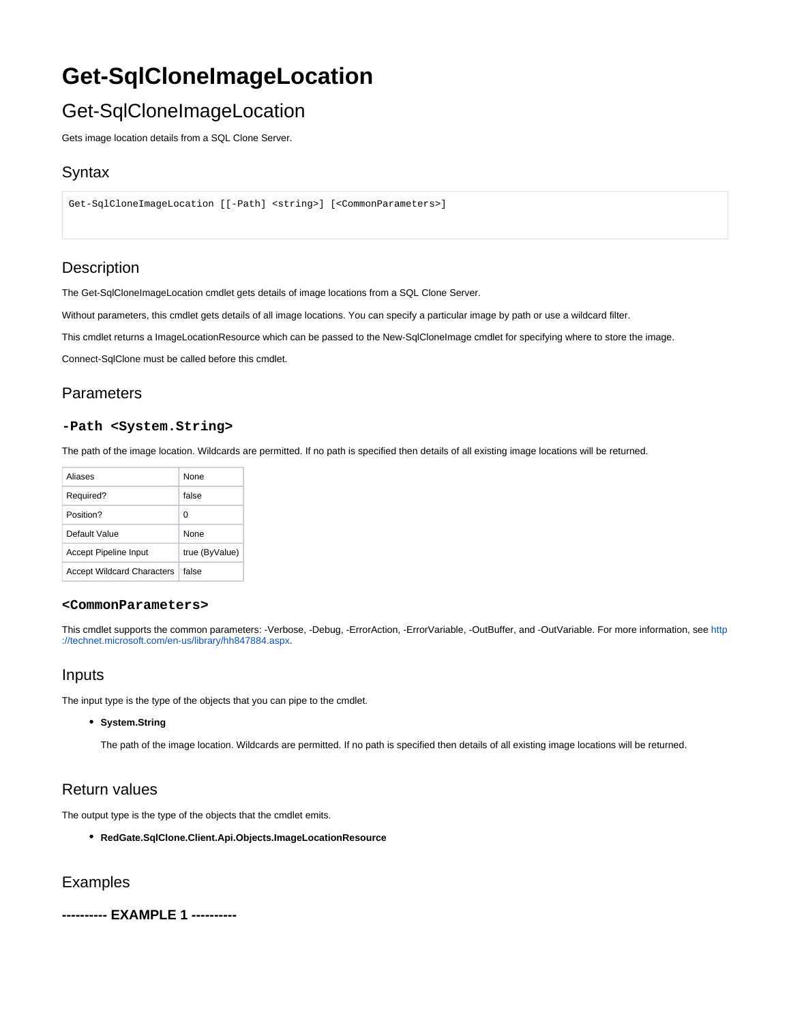# **Get-SqlCloneImageLocation**

# Get-SqlCloneImageLocation

Gets image location details from a SQL Clone Server.

## **Syntax**

```
Get-SqlCloneImageLocation [[-Path] <string>] [<CommonParameters>]
```
## **Description**

The Get-SqlCloneImageLocation cmdlet gets details of image locations from a SQL Clone Server.

Without parameters, this cmdlet gets details of all image locations. You can specify a particular image by path or use a wildcard filter.

This cmdlet returns a ImageLocationResource which can be passed to the New-SqlCloneImage cmdlet for specifying where to store the image.

Connect-SqlClone must be called before this cmdlet.

## Parameters

#### **-Path <System.String>**

The path of the image location. Wildcards are permitted. If no path is specified then details of all existing image locations will be returned.

| Aliases                           | <b>None</b>    |
|-----------------------------------|----------------|
| Required?                         | false          |
| Position?                         | O              |
| Default Value                     | <b>None</b>    |
| Accept Pipeline Input             | true (ByValue) |
| <b>Accept Wildcard Characters</b> | false          |

#### **<CommonParameters>**

This cmdlet supports the common parameters: -Verbose, -Debug, -ErrorAction, -ErrorVariable, -OutBuffer, and -OutVariable. For more information, see [http](http://technet.microsoft.com/en-us/library/hh847884.aspx) [://technet.microsoft.com/en-us/library/hh847884.aspx](http://technet.microsoft.com/en-us/library/hh847884.aspx).

### Inputs

The input type is the type of the objects that you can pipe to the cmdlet.

#### **System.String**

The path of the image location. Wildcards are permitted. If no path is specified then details of all existing image locations will be returned.

## Return values

The output type is the type of the objects that the cmdlet emits.

**RedGate.SqlClone.Client.Api.Objects.ImageLocationResource**

### Examples

**---------- EXAMPLE 1 ----------**